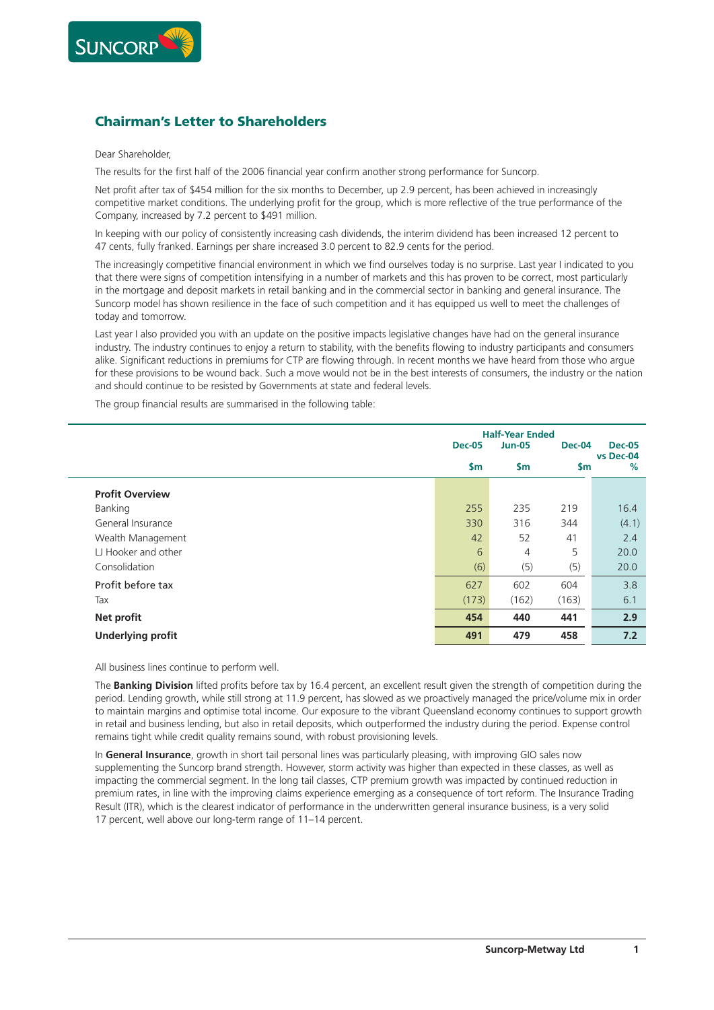

## **Chairman's Letter to Shareholders**

## Dear Shareholder,

The results for the first half of the 2006 financial year confirm another strong performance for Suncorp.

Net profit after tax of \$454 million for the six months to December, up 2.9 percent, has been achieved in increasingly competitive market conditions. The underlying profit for the group, which is more reflective of the true performance of the Company, increased by 7.2 percent to \$491 million.

In keeping with our policy of consistently increasing cash dividends, the interim dividend has been increased 12 percent to 47 cents, fully franked. Earnings per share increased 3.0 percent to 82.9 cents for the period.

The increasingly competitive financial environment in which we find ourselves today is no surprise. Last year I indicated to you that there were signs of competition intensifying in a number of markets and this has proven to be correct, most particularly in the mortgage and deposit markets in retail banking and in the commercial sector in banking and general insurance. The Suncorp model has shown resilience in the face of such competition and it has equipped us well to meet the challenges of today and tomorrow.

Last year I also provided you with an update on the positive impacts legislative changes have had on the general insurance industry. The industry continues to enjoy a return to stability, with the benefits flowing to industry participants and consumers alike. Significant reductions in premiums for CTP are flowing through. In recent months we have heard from those who argue for these provisions to be wound back. Such a move would not be in the best interests of consumers, the industry or the nation and should continue to be resisted by Governments at state and federal levels.

The group financial results are summarised in the following table:

|                          | <b>Half-Year Ended</b> |                |               |                            |
|--------------------------|------------------------|----------------|---------------|----------------------------|
|                          | <b>Dec-05</b>          | <b>Jun-05</b>  | Dec-04        | <b>Dec-05</b><br>vs Dec-04 |
|                          | \$m                    | <b>Sm</b>      | $\mathsf{sm}$ | %                          |
| <b>Profit Overview</b>   |                        |                |               |                            |
| Banking                  | 255                    | 235            | 219           | 16.4                       |
| General Insurance        | 330                    | 316            | 344           | (4.1)                      |
| Wealth Management        | 42                     | 52             | 41            | 2.4                        |
| LJ Hooker and other      | 6                      | $\overline{4}$ | 5             | 20.0                       |
| Consolidation            | (6)                    | (5)            | (5)           | 20.0                       |
| Profit before tax        | 627                    | 602            | 604           | 3.8                        |
| Tax                      | (173)                  | (162)          | (163)         | 6.1                        |
| Net profit               | 454                    | 440            | 441           | 2.9                        |
| <b>Underlying profit</b> | 491                    | 479            | 458           | 7.2                        |

All business lines continue to perform well.

The **Banking Division** lifted profits before tax by 16.4 percent, an excellent result given the strength of competition during the period. Lending growth, while still strong at 11.9 percent, has slowed as we proactively managed the price/volume mix in order to maintain margins and optimise total income. Our exposure to the vibrant Queensland economy continues to support growth in retail and business lending, but also in retail deposits, which outperformed the industry during the period. Expense control remains tight while credit quality remains sound, with robust provisioning levels.

In **General Insurance**, growth in short tail personal lines was particularly pleasing, with improving GIO sales now supplementing the Suncorp brand strength. However, storm activity was higher than expected in these classes, as well as impacting the commercial segment. In the long tail classes, CTP premium growth was impacted by continued reduction in premium rates, in line with the improving claims experience emerging as a consequence of tort reform. The Insurance Trading Result (ITR), which is the clearest indicator of performance in the underwritten general insurance business, is a very solid 17 percent, well above our long-term range of 11–14 percent.